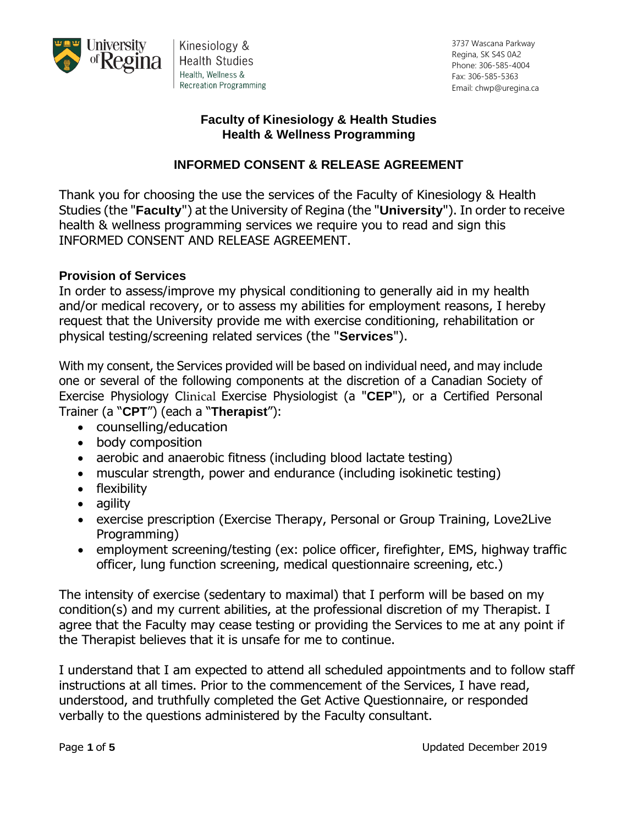

Kinesiology & **Health Studies** Health, Wellness & **Recreation Programming**  3737 Wascana Parkway Regina, SK S4S 0A2 Phone: 306-585-4004 Fax: 306-585-5363 Email: chwp@uregina.ca

#### **Faculty of Kinesiology & Health Studies Health & Wellness Programming**

# **INFORMED CONSENT & RELEASE AGREEMENT**

Thank you for choosing the use the services of the Faculty of Kinesiology & Health Studies (the "**Faculty**") at the University of Regina (the "**University**"). In order to receive health & wellness programming services we require you to read and sign this INFORMED CONSENT AND RELEASE AGREEMENT.

#### **Provision of Services**

In order to assess/improve my physical conditioning to generally aid in my health and/or medical recovery, or to assess my abilities for employment reasons, I hereby request that the University provide me with exercise conditioning, rehabilitation or physical testing/screening related services (the "**Services**").

With my consent, the Services provided will be based on individual need, and may include one or several of the following components at the discretion of a Canadian Society of Exercise Physiology Clinical Exercise Physiologist (a "**CEP**"), or a Certified Personal Trainer (a "**CPT**") (each a "**Therapist**"):

- counselling/education
- body composition
- aerobic and anaerobic fitness (including blood lactate testing)
- muscular strength, power and endurance (including isokinetic testing)
- flexibility
- agility
- exercise prescription (Exercise Therapy, Personal or Group Training, Love2Live Programming)
- employment screening/testing (ex: police officer, firefighter, EMS, highway traffic officer, lung function screening, medical questionnaire screening, etc.)

The intensity of exercise (sedentary to maximal) that I perform will be based on my condition(s) and my current abilities, at the professional discretion of my Therapist. I agree that the Faculty may cease testing or providing the Services to me at any point if the Therapist believes that it is unsafe for me to continue.

I understand that I am expected to attend all scheduled appointments and to follow staff instructions at all times. Prior to the commencement of the Services, I have read, understood, and truthfully completed the Get Active Questionnaire, or responded verbally to the questions administered by the Faculty consultant.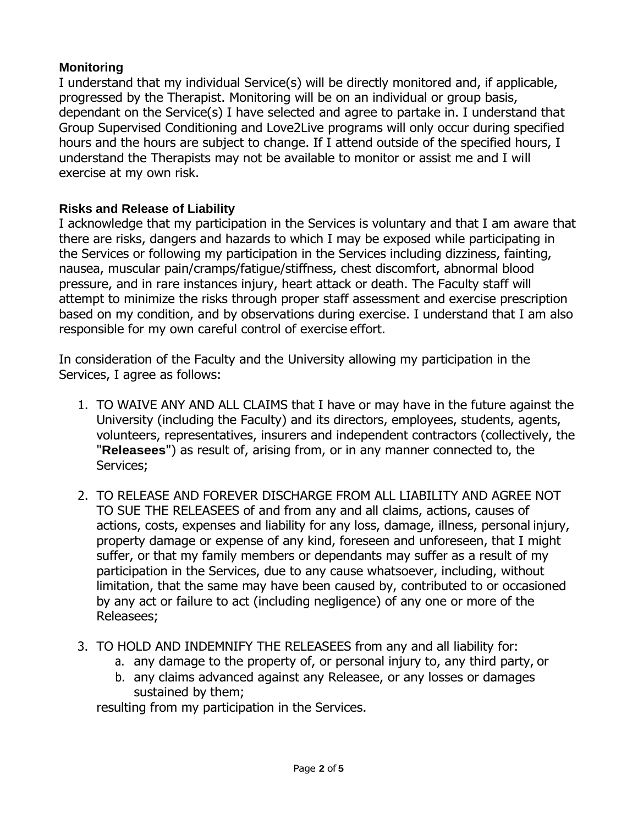# **Monitoring**

I understand that my individual Service(s) will be directly monitored and, if applicable, progressed by the Therapist. Monitoring will be on an individual or group basis, dependant on the Service(s) I have selected and agree to partake in. I understand that Group Supervised Conditioning and Love2Live programs will only occur during specified hours and the hours are subject to change. If I attend outside of the specified hours, I understand the Therapists may not be available to monitor or assist me and I will exercise at my own risk.

# **Risks and Release of Liability**

I acknowledge that my participation in the Services is voluntary and that I am aware that there are risks, dangers and hazards to which I may be exposed while participating in the Services or following my participation in the Services including dizziness, fainting, nausea, muscular pain/cramps/fatigue/stiffness, chest discomfort, abnormal blood pressure, and in rare instances injury, heart attack or death. The Faculty staff will attempt to minimize the risks through proper staff assessment and exercise prescription based on my condition, and by observations during exercise. I understand that I am also responsible for my own careful control of exercise effort.

In consideration of the Faculty and the University allowing my participation in the Services, I agree as follows:

- 1. TO WAIVE ANY AND ALL CLAIMS that I have or may have in the future against the University (including the Faculty) and its directors, employees, students, agents, volunteers, representatives, insurers and independent contractors (collectively, the "**Releasees**") as result of, arising from, or in any manner connected to, the Services;
- 2. TO RELEASE AND FOREVER DISCHARGE FROM ALL LIABILITY AND AGREE NOT TO SUE THE RELEASEES of and from any and all claims, actions, causes of actions, costs, expenses and liability for any loss, damage, illness, personal injury, property damage or expense of any kind, foreseen and unforeseen, that I might suffer, or that my family members or dependants may suffer as a result of my participation in the Services, due to any cause whatsoever, including, without limitation, that the same may have been caused by, contributed to or occasioned by any act or failure to act (including negligence) of any one or more of the Releasees;
- 3. TO HOLD AND INDEMNIFY THE RELEASEES from any and all liability for:
	- a. any damage to the property of, or personal injury to, any third party, or
	- b. any claims advanced against any Releasee, or any losses or damages sustained by them;

resulting from my participation in the Services.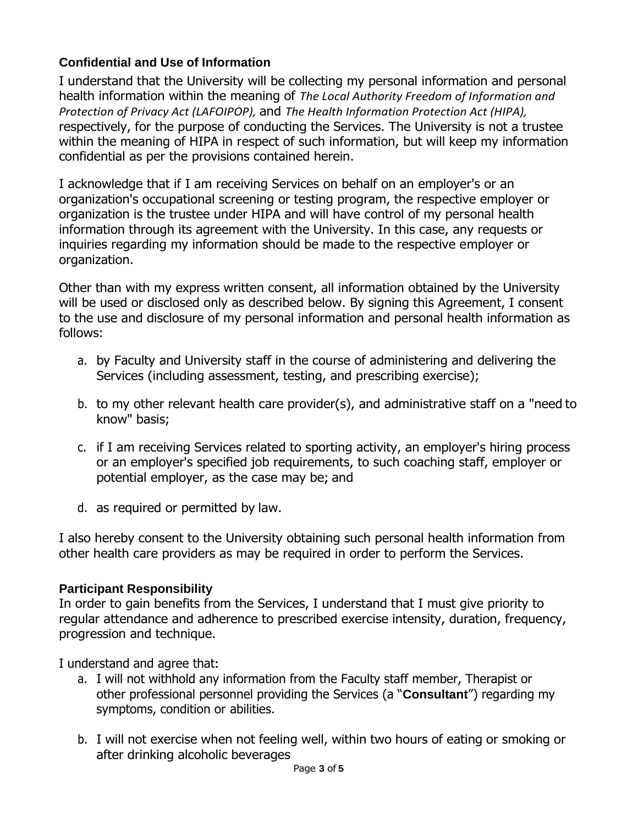# **Confidential and Use of Information**

I understand that the University will be collecting my personal information and personal health information within the meaning of *The Local Authority Freedom of Information and Protection of Privacy Act (LAFOIPOP),* and *The Health Information Protection Act (HIPA),*  respectively, for the purpose of conducting the Services. The University is not a trustee within the meaning of HIPA in respect of such information, but will keep my information confidential as per the provisions contained herein.

I acknowledge that if I am receiving Services on behalf on an employer's or an organization's occupational screening or testing program, the respective employer or organization is the trustee under HIPA and will have control of my personal health information through its agreement with the University. In this case, any requests or inquiries regarding my information should be made to the respective employer or organization.

Other than with my express written consent, all information obtained by the University will be used or disclosed only as described below. By signing this Agreement, I consent to the use and disclosure of my personal information and personal health information as follows:

- a. by Faculty and University staff in the course of administering and delivering the Services (including assessment, testing, and prescribing exercise);
- b. to my other relevant health care provider(s), and administrative staff on a "need to know" basis;
- c. if I am receiving Services related to sporting activity, an employer's hiring process or an employer's specified job requirements, to such coaching staff, employer or potential employer, as the case may be; and
- d. as required or permitted by law.

I also hereby consent to the University obtaining such personal health information from other health care providers as may be required in order to perform the Services.

### **Participant Responsibility**

In order to gain benefits from the Services, I understand that I must give priority to regular attendance and adherence to prescribed exercise intensity, duration, frequency, progression and technique.

I understand and agree that**:** 

- a. I will not withhold any information from the Faculty staff member, Therapist or other professional personnel providing the Services (a "**Consultant**") regarding my symptoms, condition or abilities.
- b. I will not exercise when not feeling well, within two hours of eating or smoking or after drinking alcoholic beverages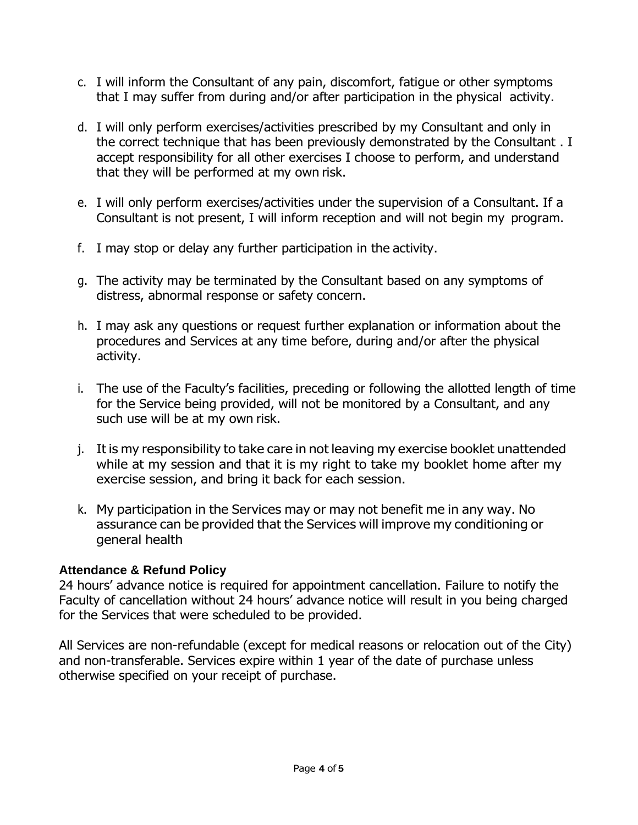- c. I will inform the Consultant of any pain, discomfort, fatigue or other symptoms that I may suffer from during and/or after participation in the physical activity.
- d. I will only perform exercises/activities prescribed by my Consultant and only in the correct technique that has been previously demonstrated by the Consultant . I accept responsibility for all other exercises I choose to perform, and understand that they will be performed at my own risk.
- e. I will only perform exercises/activities under the supervision of a Consultant. If a Consultant is not present, I will inform reception and will not begin my program.
- f. I may stop or delay any further participation in the activity.
- g. The activity may be terminated by the Consultant based on any symptoms of distress, abnormal response or safety concern.
- h. I may ask any questions or request further explanation or information about the procedures and Services at any time before, during and/or after the physical activity.
- i. The use of the Faculty's facilities, preceding or following the allotted length of time for the Service being provided, will not be monitored by a Consultant, and any such use will be at my own risk.
- j. It is my responsibility to take care in not leaving my exercise booklet unattended while at my session and that it is my right to take my booklet home after my exercise session, and bring it back for each session.
- k. My participation in the Services may or may not benefit me in any way. No assurance can be provided that the Services will improve my conditioning or general health

### **Attendance & Refund Policy**

24 hours' advance notice is required for appointment cancellation. Failure to notify the Faculty of cancellation without 24 hours' advance notice will result in you being charged for the Services that were scheduled to be provided.

All Services are non-refundable (except for medical reasons or relocation out of the City) and non-transferable. Services expire within 1 year of the date of purchase unless otherwise specified on your receipt of purchase.